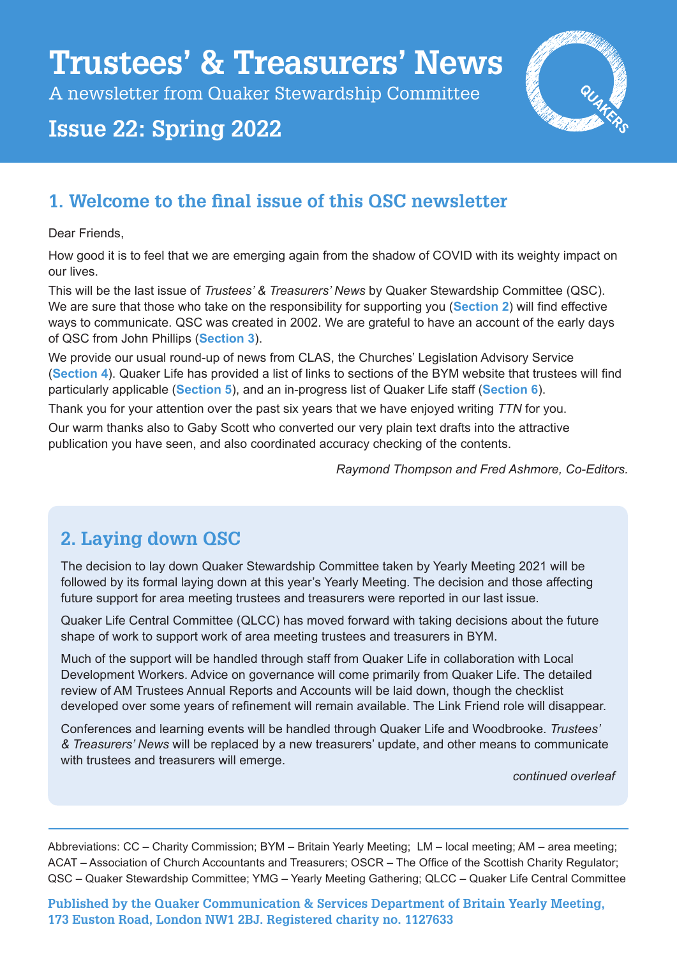# **Trustees' & Treasurers' News**

A newsletter from Quaker Stewardship Committee

## **Issue 22: Spring 2022**



## **1. Welcome to the final issue of this QSC newsletter**

Dear Friends

How good it is to feel that we are emerging again from the shadow of COVID with its weighty impact on our lives.

This will be the last issue of *Trustees' & Treasurers' News* by Quaker Stewardship Committee (QSC). We are sure that those who take on the responsibility for supporting you (**Section 2**) will find effective ways to communicate. QSC was created in 2002. We are grateful to have an account of the early days of QSC from John Phillips (**Section 3**).

We provide our usual round-up of news from CLAS, the Churches' Legislation Advisory Service (**Section 4**). Quaker Life has provided a list of links to sections of the BYM website that trustees will find particularly applicable (**Section 5**), and an in-progress list of Quaker Life staff (**Section 6**).

Thank you for your attention over the past six years that we have enjoyed writing *TTN* for you. Our warm thanks also to Gaby Scott who converted our very plain text drafts into the attractive publication you have seen, and also coordinated accuracy checking of the contents.

*Raymond Thompson and Fred Ashmore, Co-Editors.* 

## **2. Laying down QSC**

The decision to lay down Quaker Stewardship Committee taken by Yearly Meeting 2021 will be followed by its formal laying down at this year's Yearly Meeting. The decision and those affecting future support for area meeting trustees and treasurers were reported in our last issue.

Quaker Life Central Committee (QLCC) has moved forward with taking decisions about the future shape of work to support work of area meeting trustees and treasurers in BYM.

Much of the support will be handled through staff from Quaker Life in collaboration with Local Development Workers. Advice on governance will come primarily from Quaker Life. The detailed review of AM Trustees Annual Reports and Accounts will be laid down, though the checklist developed over some years of refinement will remain available. The Link Friend role will disappear.

Conferences and learning events will be handled through Quaker Life and Woodbrooke. *Trustees' & Treasurers' News* will be replaced by a new treasurers' update, and other means to communicate with trustees and treasurers will emerge.

*continued overleaf*

Abbreviations: CC – Charity Commission; BYM – Britain Yearly Meeting; LM – local meeting; AM – area meeting; ACAT – Association of Church Accountants and Treasurers; OSCR – The Office of the Scottish Charity Regulator; QSC – Quaker Stewardship Committee; YMG – Yearly Meeting Gathering; QLCC – Quaker Life Central Committee

**Published by the Quaker Communication & Services Department of Britain Yearly Meeting, 173 Euston Road, London NW1 2BJ. Registered charity no. 1127633**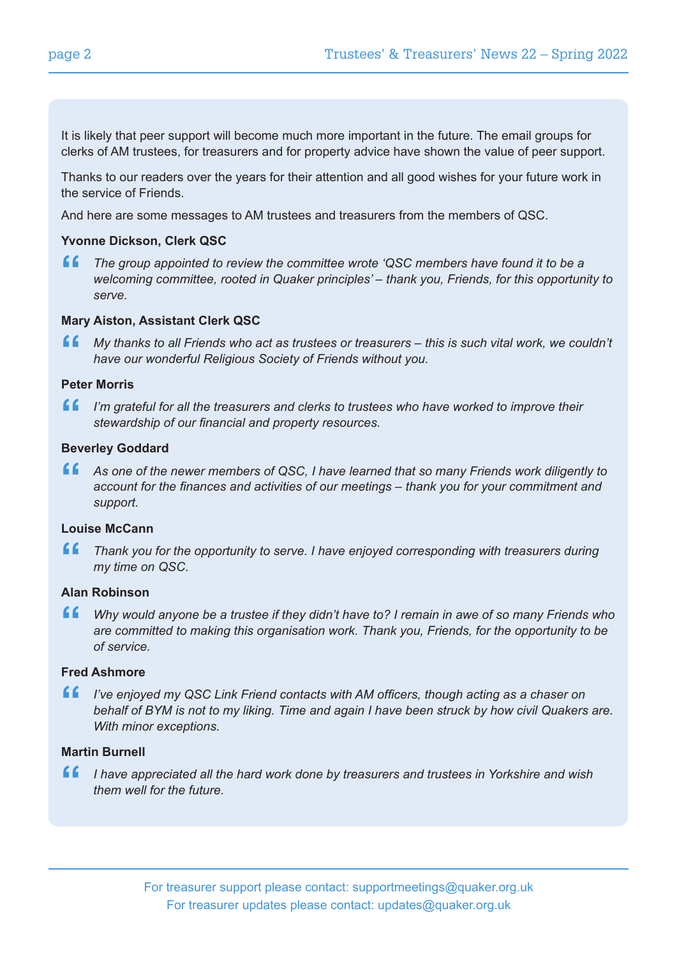It is likely that peer support will become much more important in the future. The email groups for clerks of AM trustees, for treasurers and for property advice have shown the value of peer support.

Thanks to our readers over the years for their attention and all good wishes for your future work in the service of Friends.

And here are some messages to AM trustees and treasurers from the members of QSC.

#### **Yvonne Dickson, Clerk QSC**

**"**  *The group appointed to review the committee wrote 'QSC members have found it to be a welcoming committee, rooted in Quaker principles' – thank you, Friends, for this opportunity to serve.* 

#### **Mary Aiston, Assistant Clerk QSC**

**"** *My thanks to all Friends who act as trustees or treasurers – this is such vital work, we couldn't have our wonderful Religious Society of Friends without you.* 

#### **Peter Morris**

**"** *I'm grateful for all the treasurers and clerks to trustees who have worked to improve their stewardship of our financial and property resources.* 

#### **Beverley Goddard**

**4 C** As one of the newer members of QSC, I have learned that so many Friends work diligently to account for the finances and activities of our meetings – thank you for your commitment and support *account for the finances and activities of our meetings – thank you for your commitment and support.*

#### **Louise McCann**

**"**  *Thank you for the opportunity to serve. I have enjoyed corresponding with treasurers during my time on QSC*.

#### **Alan Robinson**

**"**  *Why would anyone be a trustee if they didn't have to? I remain in awe of so many Friends who are committed to making this organisation work. Thank you, Friends, for the opportunity to be of service.* 

#### **Fred Ashmore**

**f** *I've enjoyed my QSC Link Friend contacts with AM officers, though acting as a chaser on behalf of BYM is not to my liking. Time and again I have been struck by how civil Quakers behalf of BYM is not to my liking. Time and again I have been struck by how civil Quakers are. With minor exceptions.* 

#### **Martin Burnell**

**"**  *I have appreciated all the hard work done by treasurers and trustees in Yorkshire and wish them well for the future.*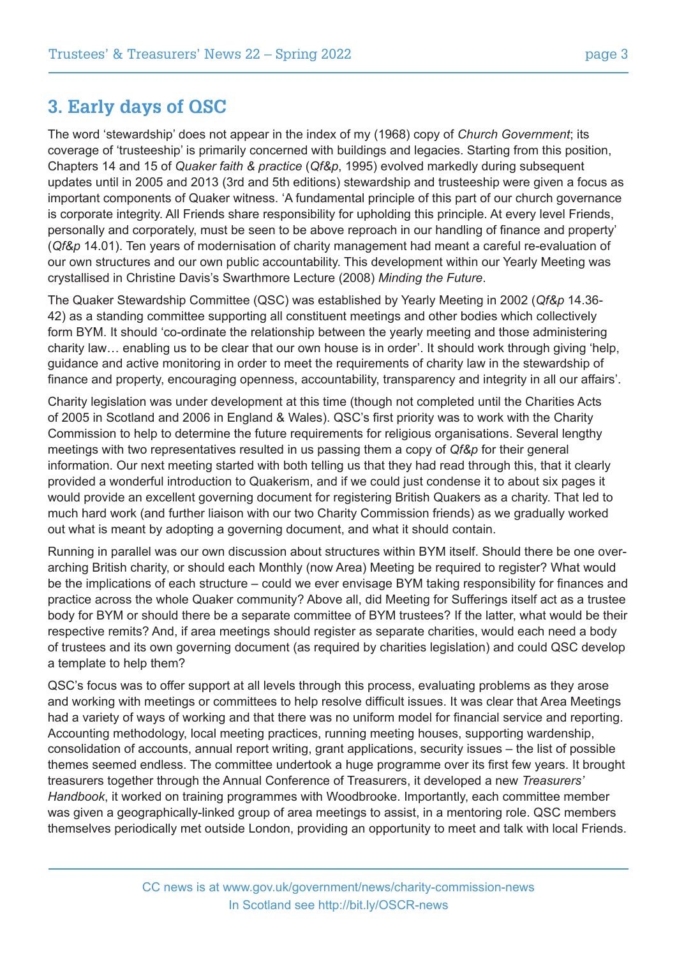### **3. Early days of QSC**

The word 'stewardship' does not appear in the index of my (1968) copy of *Church Government*; its coverage of 'trusteeship' is primarily concerned with buildings and legacies. Starting from this position, Chapters 14 and 15 of *Quaker faith & practice* (*Qf&p*, 1995) evolved markedly during subsequent updates until in 2005 and 2013 (3rd and 5th editions) stewardship and trusteeship were given a focus as important components of Quaker witness. 'A fundamental principle of this part of our church governance is corporate integrity. All Friends share responsibility for upholding this principle. At every level Friends, personally and corporately, must be seen to be above reproach in our handling of finance and property' (*Qf&p* 14.01). Ten years of modernisation of charity management had meant a careful re-evaluation of our own structures and our own public accountability. This development within our Yearly Meeting was crystallised in Christine Davis's Swarthmore Lecture (2008) *Minding the Future*.

The Quaker Stewardship Committee (QSC) was established by Yearly Meeting in 2002 (*Qf&p* 14.36- 42) as a standing committee supporting all constituent meetings and other bodies which collectively form BYM. It should 'co-ordinate the relationship between the yearly meeting and those administering charity law… enabling us to be clear that our own house is in order'. It should work through giving 'help, guidance and active monitoring in order to meet the requirements of charity law in the stewardship of finance and property, encouraging openness, accountability, transparency and integrity in all our affairs'.

Charity legislation was under development at this time (though not completed until the Charities Acts of 2005 in Scotland and 2006 in England & Wales). QSC's first priority was to work with the Charity Commission to help to determine the future requirements for religious organisations. Several lengthy meetings with two representatives resulted in us passing them a copy of *Qf&p* for their general information. Our next meeting started with both telling us that they had read through this, that it clearly provided a wonderful introduction to Quakerism, and if we could just condense it to about six pages it would provide an excellent governing document for registering British Quakers as a charity. That led to much hard work (and further liaison with our two Charity Commission friends) as we gradually worked out what is meant by adopting a governing document, and what it should contain.

Running in parallel was our own discussion about structures within BYM itself. Should there be one overarching British charity, or should each Monthly (now Area) Meeting be required to register? What would be the implications of each structure – could we ever envisage BYM taking responsibility for finances and practice across the whole Quaker community? Above all, did Meeting for Sufferings itself act as a trustee body for BYM or should there be a separate committee of BYM trustees? If the latter, what would be their respective remits? And, if area meetings should register as separate charities, would each need a body of trustees and its own governing document (as required by charities legislation) and could QSC develop a template to help them?

QSC's focus was to offer support at all levels through this process, evaluating problems as they arose and working with meetings or committees to help resolve difficult issues. It was clear that Area Meetings had a variety of ways of working and that there was no uniform model for financial service and reporting. Accounting methodology, local meeting practices, running meeting houses, supporting wardenship, consolidation of accounts, annual report writing, grant applications, security issues – the list of possible themes seemed endless. The committee undertook a huge programme over its first few years. It brought treasurers together through the Annual Conference of Treasurers, it developed a new *Treasurers' Handbook*, it worked on training programmes with Woodbrooke. Importantly, each committee member was given a geographically-linked group of area meetings to assist, in a mentoring role. QSC members themselves periodically met outside London, providing an opportunity to meet and talk with local Friends.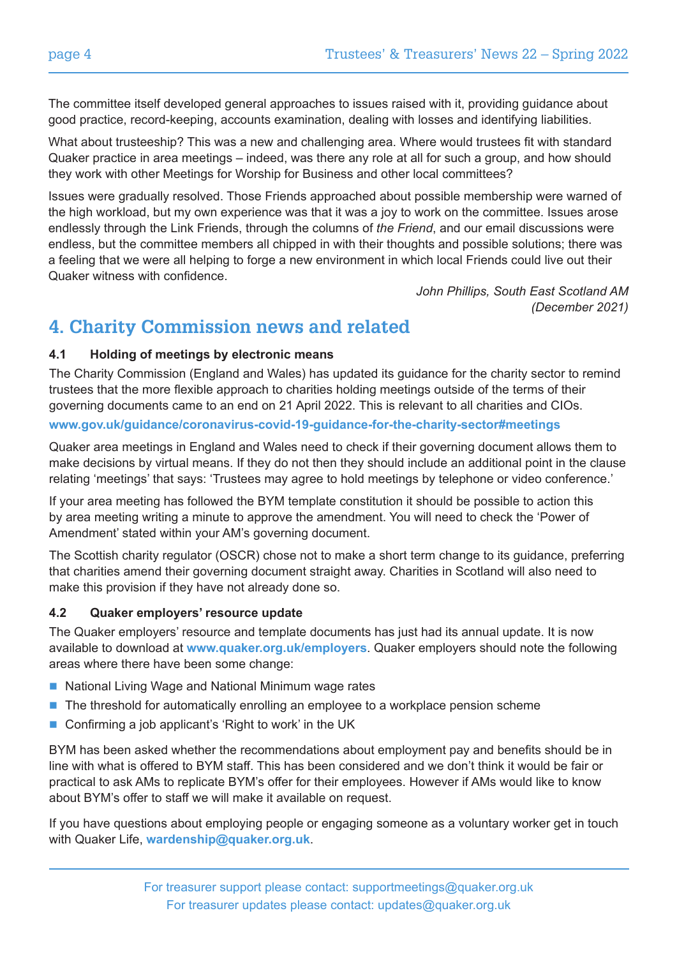The committee itself developed general approaches to issues raised with it, providing guidance about good practice, record-keeping, accounts examination, dealing with losses and identifying liabilities.

What about trusteeship? This was a new and challenging area. Where would trustees fit with standard Quaker practice in area meetings – indeed, was there any role at all for such a group, and how should they work with other Meetings for Worship for Business and other local committees?

Issues were gradually resolved. Those Friends approached about possible membership were warned of the high workload, but my own experience was that it was a joy to work on the committee. Issues arose endlessly through the Link Friends, through the columns of *the Friend*, and our email discussions were endless, but the committee members all chipped in with their thoughts and possible solutions; there was a feeling that we were all helping to forge a new environment in which local Friends could live out their Quaker witness with confidence.

> *John Phillips, South East Scotland AM (December 2021)*

## **4. Charity Commission news and related**

#### **4.1 Holding of meetings by electronic means**

The Charity Commission (England and Wales) has updated its guidance for the charity sector to remind trustees that the more flexible approach to charities holding meetings outside of the terms of their governing documents came to an end on 21 April 2022. This is relevant to all charities and CIOs. **www.gov.uk/guidance/coronavirus-covid-19-guidance-for-the-charity-sector#meetings**

Quaker area meetings in England and Wales need to check if their governing document allows them to make decisions by virtual means. If they do not then they should include an additional point in the clause relating 'meetings' that says: 'Trustees may agree to hold meetings by telephone or video conference.'

If your area meeting has followed the BYM template constitution it should be possible to action this by area meeting writing a minute to approve the amendment. You will need to check the 'Power of Amendment' stated within your AM's governing document.

The Scottish charity regulator (OSCR) chose not to make a short term change to its guidance, preferring that charities amend their governing document straight away. Charities in Scotland will also need to make this provision if they have not already done so.

#### **4.2 Quaker employers' resource update**

The Quaker employers' resource and template documents has just had its annual update. It is now available to download at **www.quaker.org.uk/employers**. Quaker employers should note the following areas where there have been some change:

- National Living Wage and National Minimum wage rates
- $\blacksquare$  The threshold for automatically enrolling an employee to a workplace pension scheme
- $\blacksquare$  Confirming a job applicant's 'Right to work' in the UK

BYM has been asked whether the recommendations about employment pay and benefits should be in line with what is offered to BYM staff. This has been considered and we don't think it would be fair or practical to ask AMs to replicate BYM's offer for their employees. However if AMs would like to know about BYM's offer to staff we will make it available on request.

If you have questions about employing people or engaging someone as a voluntary worker get in touch with Quaker Life, **wardenship@quaker.org.uk**.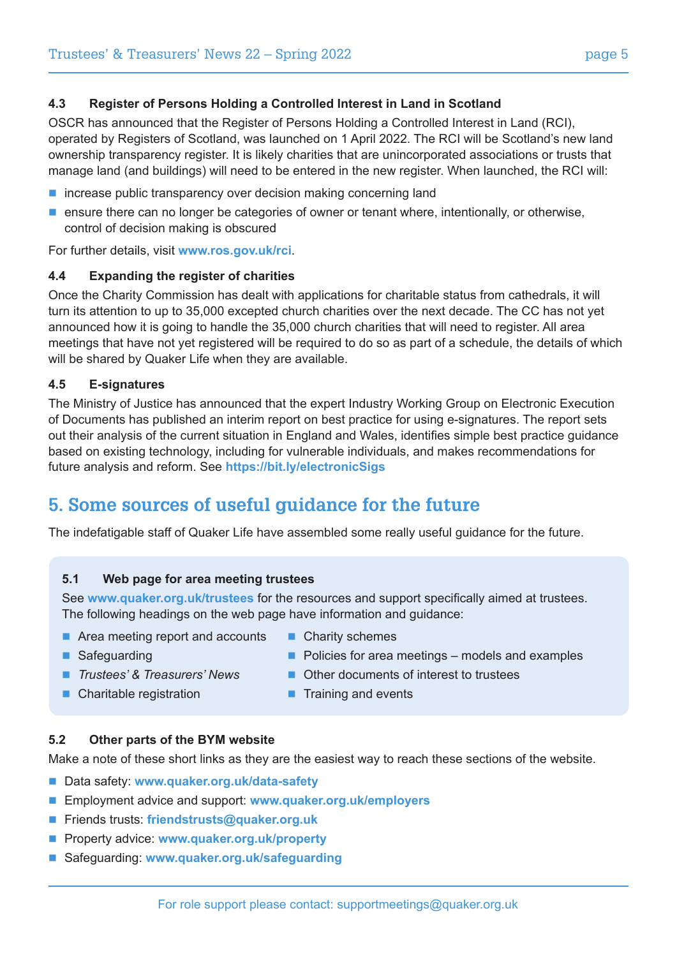#### **4.3 Register of Persons Holding a Controlled Interest in Land in Scotland**

OSCR has announced that the Register of Persons Holding a Controlled Interest in Land (RCI), operated by Registers of Scotland, was launched on 1 April 2022. The RCI will be Scotland's new land ownership transparency register. It is likely charities that are unincorporated associations or trusts that manage land (and buildings) will need to be entered in the new register. When launched, the RCI will:

- $\blacksquare$  increase public transparency over decision making concerning land
- $\blacksquare$  ensure there can no longer be categories of owner or tenant where, intentionally, or otherwise, control of decision making is obscured

For further details, visit **www.ros.gov.uk/rci**.

#### **4.4 Expanding the register of charities**

Once the Charity Commission has dealt with applications for charitable status from cathedrals, it will turn its attention to up to 35,000 excepted church charities over the next decade. The CC has not yet announced how it is going to handle the 35,000 church charities that will need to register. All area meetings that have not yet registered will be required to do so as part of a schedule, the details of which will be shared by Quaker Life when they are available.

#### **4.5 E-signatures**

The Ministry of Justice has announced that the expert Industry Working Group on Electronic Execution of Documents has published an interim report on best practice for using e-signatures. The report sets out their analysis of the current situation in England and Wales, identifies simple best practice guidance based on existing technology, including for vulnerable individuals, and makes recommendations for future analysis and reform. See **https://bit.ly/electronicSigs**

## **5. Some sources of useful guidance for the future**

The indefatigable staff of Quaker Life have assembled some really useful guidance for the future.

#### **5.1 Web page for area meeting trustees**

See **www.quaker.org.uk/trustees** for the resources and support specifically aimed at trustees. The following headings on the web page have information and guidance:

- $\blacksquare$  Area meeting report and accounts  $\blacksquare$  Charity schemes
- 

- 
- Safeguarding **n Policies for area meetings models and examples**
- *Trustees' & Treasurers' News* Other documents of interest to trustees
- Charitable registration Training and events
	-

#### **5.2 Other parts of the BYM website**

Make a note of these short links as they are the easiest way to reach these sections of the website.

- Data safety: www.quaker.org.uk/data-safety
- Employment advice and support: **www.quaker.org.uk/employers**
- Friends trusts: friendstrusts@quaker.org.uk
- Property advice: www.quaker.org.uk/property
- Safeguarding: www.quaker.org.uk/safeguarding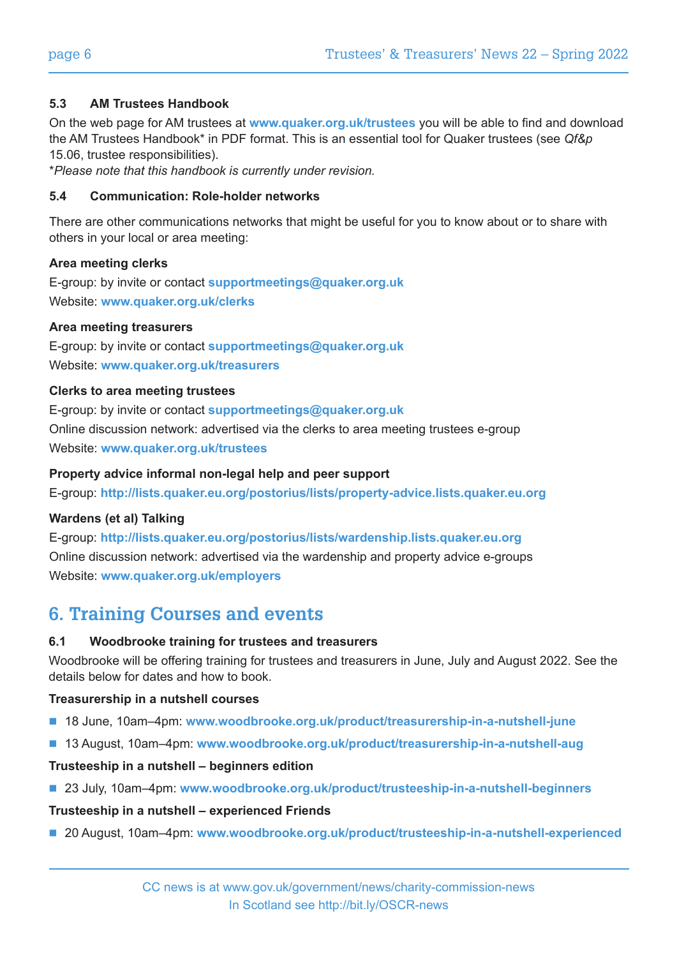#### **5.3 AM Trustees Handbook**

On the web page for AM trustees at **www.quaker.org.uk/trustees** you will be able to find and download the AM Trustees Handbook\* in PDF format. This is an essential tool for Quaker trustees (see *Qf&p* 15.06, trustee responsibilities).

\**Please note that this handbook is currently under revision.*

#### **5.4 Communication: Role-holder networks**

There are other communications networks that might be useful for you to know about or to share with others in your local or area meeting:

#### **Area meeting clerks**

E-group: by invite or contact **supportmeetings@quaker.org.uk**  Website: **www.quaker.org.uk/clerks** 

#### **Area meeting treasurers**

E-group: by invite or contact **supportmeetings@quaker.org.uk**  Website: **www.quaker.org.uk/treasurers** 

#### **Clerks to area meeting trustees**

E-group: by invite or contact **supportmeetings@quaker.org.uk** Online discussion network: advertised via the clerks to area meeting trustees e-group Website: **www.quaker.org.uk/trustees** 

#### **Property advice informal non-legal help and peer support**

E-group: **http://lists.quaker.eu.org/postorius/lists/property-advice.lists.quaker.eu.org**

#### **Wardens (et al) Talking**

E-group: **http://lists.quaker.eu.org/postorius/lists/wardenship.lists.quaker.eu.org** Online discussion network: advertised via the wardenship and property advice e-groups Website: **www.quaker.org.uk/employers**

## **6. Training Courses and events**

#### **6.1 Woodbrooke training for trustees and treasurers**

Woodbrooke will be offering training for trustees and treasurers in June, July and August 2022. See the details below for dates and how to book.

#### **Treasurership in a nutshell courses**

- 18 June, 10am–4pm: www.woodbrooke.org.uk/product/treasurership-in-a-nutshell-june
- 13 August, 10am–4pm: www.woodbrooke.org.uk/product/treasurership-in-a-nutshell-aug

#### **Trusteeship in a nutshell – beginners edition**

■ 23 July, 10am–4pm: www.woodbrooke.org.uk/product/trusteeship-in-a-nutshell-beginners

#### **Trusteeship in a nutshell – experienced Friends**

■ 20 August, 10am–4pm: www.woodbrooke.org.uk/product/trusteeship-in-a-nutshell-experienced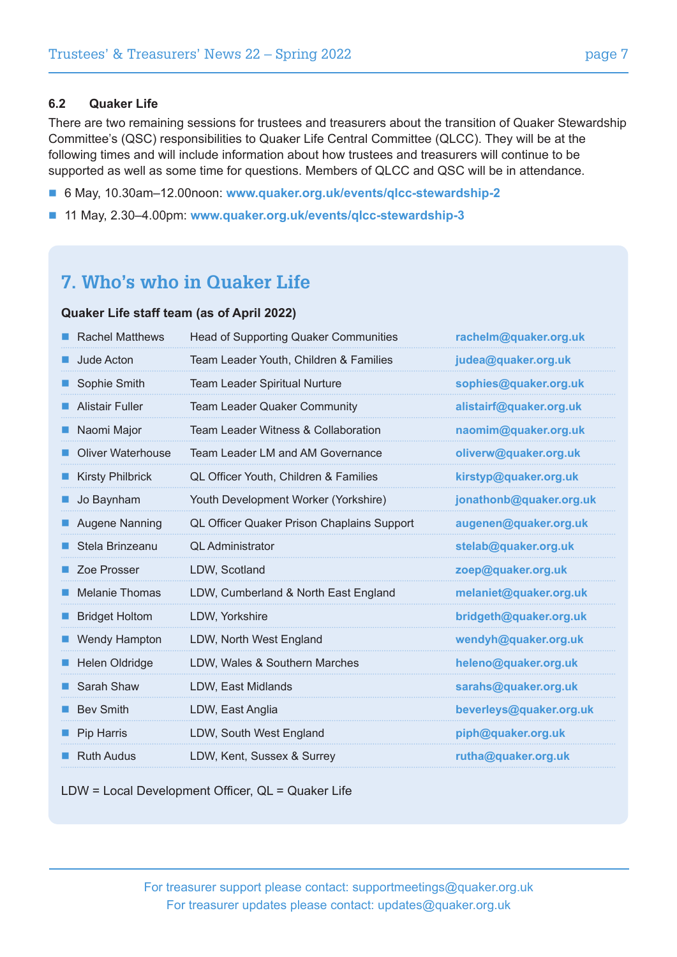#### **6.2 Quaker Life**

There are two remaining sessions for trustees and treasurers about the transition of Quaker Stewardship Committee's (QSC) responsibilities to Quaker Life Central Committee (QLCC). They will be at the following times and will include information about how trustees and treasurers will continue to be supported as well as some time for questions. Members of QLCC and QSC will be in attendance.

- 6 May, 10.30am-12.00noon: www.quaker.org.uk/events/qlcc-stewardship-2
- 11 May, 2.30–4.00pm: www.quaker.org.uk/events/qlcc-stewardship-3

## **7. Who's who in Quaker Life**

#### **Quaker Life staff team (as of April 2022)**

| <b>Rachel Matthews</b>   | <b>Head of Supporting Quaker Communities</b> | rachelm@quaker.org.uk   |
|--------------------------|----------------------------------------------|-------------------------|
| Jude Acton               | Team Leader Youth, Children & Families       | judea@quaker.org.uk     |
| Sophie Smith             | <b>Team Leader Spiritual Nurture</b>         | sophies@quaker.org.uk   |
| <b>Alistair Fuller</b>   | Team Leader Quaker Community                 | alistairf@quaker.org.uk |
| Naomi Major              | Team Leader Witness & Collaboration          | naomim@quaker.org.uk    |
| <b>Oliver Waterhouse</b> | Team Leader LM and AM Governance             | oliverw@quaker.org.uk   |
| <b>Kirsty Philbrick</b>  | QL Officer Youth, Children & Families        | kirstyp@quaker.org.uk   |
| Jo Baynham               | Youth Development Worker (Yorkshire)         | jonathonb@quaker.org.uk |
| Augene Nanning           | QL Officer Quaker Prison Chaplains Support   | augenen@quaker.org.uk   |
| Stela Brinzeanu          | <b>OL</b> Administrator                      | stelab@quaker.org.uk    |
| Zoe Prosser              | LDW, Scotland                                | zoep@quaker.org.uk      |
| <b>Melanie Thomas</b>    | LDW, Cumberland & North East England         | melaniet@quaker.org.uk  |
| <b>Bridget Holtom</b>    | LDW, Yorkshire                               | bridgeth@quaker.org.uk  |
| <b>Wendy Hampton</b>     | LDW, North West England                      | wendyh@quaker.org.uk    |
| <b>Helen Oldridge</b>    | LDW, Wales & Southern Marches                | heleno@quaker.org.uk    |
| Sarah Shaw               | LDW, East Midlands                           | sarahs@quaker.org.uk    |
| <b>Bev Smith</b>         | LDW, East Anglia                             | beverleys@quaker.org.uk |
| Pip Harris               | LDW, South West England                      | piph@quaker.org.uk      |
| <b>Ruth Audus</b>        | LDW, Kent, Sussex & Surrey                   | rutha@quaker.org.uk     |
|                          |                                              |                         |

LDW = Local Development Officer, QL = Quaker Life